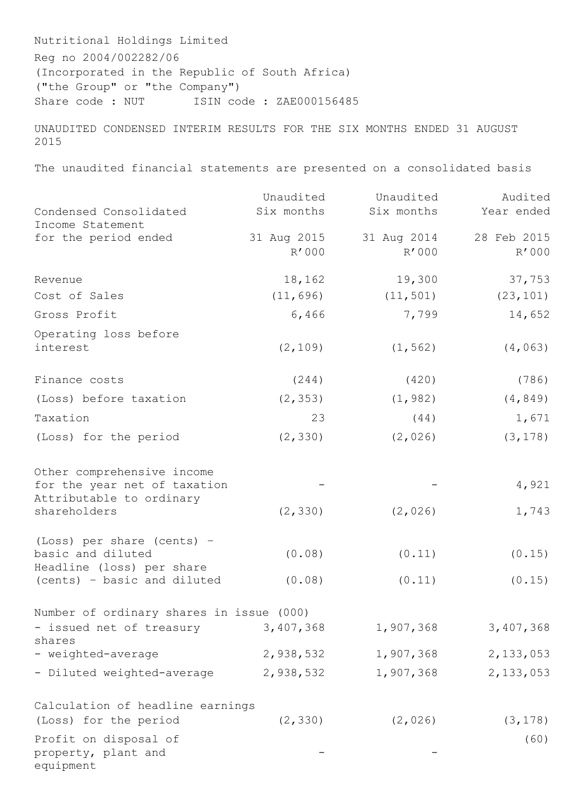Nutritional Holdings Limited Reg no 2004/002282/06 (Incorporated in the Republic of South Africa) ("the Group" or "the Company") Share code : NUT ISIN code : ZAE000156485

UNAUDITED CONDENSED INTERIM RESULTS FOR THE SIX MONTHS ENDED 31 AUGUST 2015

The unaudited financial statements are presented on a consolidated basis

|                                                | Unaudited            | Unaudited            | Audited              |
|------------------------------------------------|----------------------|----------------------|----------------------|
| Condensed Consolidated                         | Six months           | Six months           | Year ended           |
| Income Statement                               |                      |                      |                      |
| for the period ended                           | 31 Aug 2015<br>R'000 | 31 Aug 2014<br>R'000 | 28 Feb 2015<br>R'000 |
|                                                |                      |                      |                      |
| Revenue                                        | 18,162               | 19,300               | 37,753               |
| Cost of Sales                                  | (11, 696)            | (11, 501)            | (23, 101)            |
| Gross Profit                                   | 6,466                | 7,799                | 14,652               |
| Operating loss before                          |                      |                      |                      |
| interest                                       | (2, 109)             | (1, 562)             | (4, 063)             |
| Finance costs                                  | (244)                | (420)                | (786)                |
| (Loss) before taxation                         | (2, 353)             | (1, 982)             | (4, 849)             |
| Taxation                                       | 23                   | (44)                 | 1,671                |
| (Loss) for the period                          | (2, 330)             | (2, 026)             | (3, 178)             |
|                                                |                      |                      |                      |
| Other comprehensive income                     |                      |                      |                      |
| for the year net of taxation                   |                      |                      | 4,921                |
| Attributable to ordinary<br>shareholders       | (2, 330)             | (2, 026)             | 1,743                |
|                                                |                      |                      |                      |
| (Loss) per share (cents) -                     |                      |                      |                      |
| basic and diluted<br>Headline (loss) per share | (0.08)               | (0.11)               | (0.15)               |
| (cents) - basic and diluted                    | (0.08)               | (0.11)               | (0.15)               |
|                                                |                      |                      |                      |
| Number of ordinary shares in issue (000)       |                      |                      |                      |
| - issued net of treasury<br>shares             | 3,407,368            | 1,907,368            | 3,407,368            |
| - weighted-average                             | 2,938,532            | 1,907,368            | 2,133,053            |
| - Diluted weighted-average                     | 2,938,532            | 1,907,368            | 2,133,053            |
|                                                |                      |                      |                      |
| Calculation of headline earnings               |                      |                      |                      |
| (Loss) for the period                          | (2, 330)             | (2, 026)             | (3, 178)             |
| Profit on disposal of                          |                      |                      | (60)                 |
| property, plant and<br>equipment               |                      |                      |                      |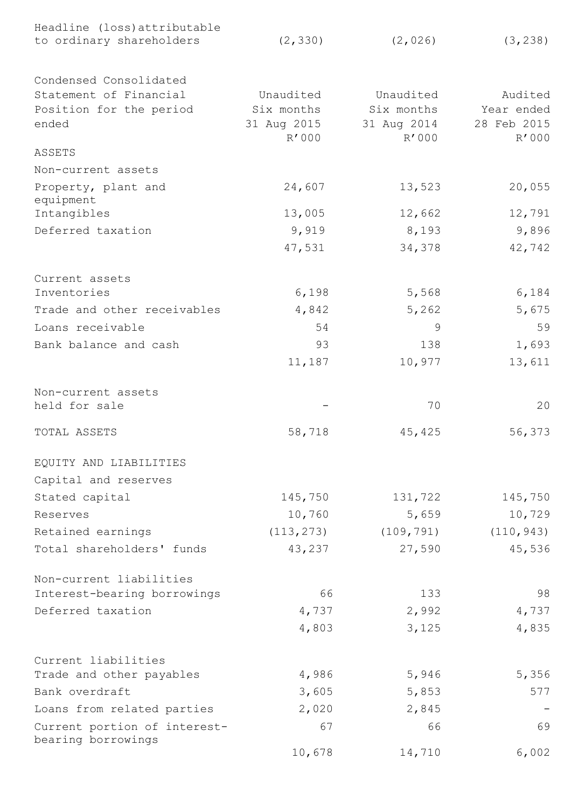| Headline (loss) attributable                       |             |             |             |
|----------------------------------------------------|-------------|-------------|-------------|
| to ordinary shareholders                           | (2, 330)    | (2, 026)    | (3, 238)    |
| Condensed Consolidated                             |             |             |             |
| Statement of Financial                             | Unaudited   | Unaudited   | Audited     |
| Position for the period                            | Six months  | Six months  | Year ended  |
| ended                                              | 31 Aug 2015 | 31 Aug 2014 | 28 Feb 2015 |
|                                                    | R'000       | R'000       | R'000       |
| ASSETS                                             |             |             |             |
| Non-current assets                                 |             |             |             |
| Property, plant and<br>equipment                   | 24,607      | 13,523      | 20,055      |
| Intangibles                                        | 13,005      | 12,662      | 12,791      |
| Deferred taxation                                  | 9,919       | 8,193       | 9,896       |
|                                                    | 47,531      | 34,378      | 42,742      |
| Current assets                                     |             |             |             |
| Inventories                                        | 6,198       | 5,568       | 6,184       |
| Trade and other receivables                        | 4,842       | 5,262       | 5,675       |
| Loans receivable                                   | 54          | 9           | 59          |
| Bank balance and cash                              | 93          | 138         | 1,693       |
|                                                    | 11,187      | 10,977      | 13,611      |
| Non-current assets                                 |             |             |             |
| held for sale                                      |             | 70          | 20          |
| TOTAL ASSETS                                       | 58,718      | 45,425      | 56,373      |
| EQUITY AND LIABILITIES                             |             |             |             |
| Capital and reserves                               |             |             |             |
| Stated capital                                     | 145,750     | 131,722     | 145,750     |
| Reserves                                           | 10,760      | 5,659       | 10,729      |
| Retained earnings                                  | (113, 273)  | (109, 791)  | (110, 943)  |
| Total shareholders' funds                          | 43,237      | 27,590      | 45,536      |
| Non-current liabilities                            |             |             |             |
| Interest-bearing borrowings                        | 66          | 133         | 98          |
| Deferred taxation                                  | 4,737       | 2,992       | 4,737       |
|                                                    | 4,803       | 3,125       | 4,835       |
| Current liabilities                                |             |             |             |
| Trade and other payables                           | 4,986       | 5,946       | 5,356       |
| Bank overdraft                                     | 3,605       | 5,853       | 577         |
| Loans from related parties                         | 2,020       | 2,845       |             |
| Current portion of interest-<br>bearing borrowings | 67          | 66          | 69          |
|                                                    | 10,678      | 14,710      | 6,002       |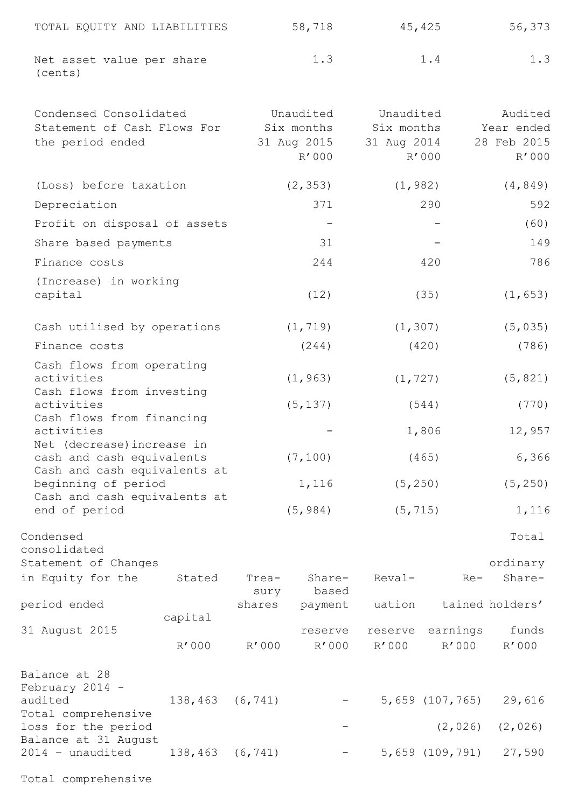| TOTAL EQUITY AND LIABILITIES         | 58,718 | 45,425 | 56,373 |
|--------------------------------------|--------|--------|--------|
| Net asset value per share<br>(cents) | 1.3    | 1.4    | 1.3    |

| Condensed Consolidated<br>Statement of Cash Flows For<br>the period ended |         | Unaudited<br>Six months<br>31 Aug 2015<br>R'000 |                      | Unaudited<br>Six months<br>31 Aug 2014 | R'000    | Audited<br>Year ended<br>28 Feb 2015<br>R'000 |  |
|---------------------------------------------------------------------------|---------|-------------------------------------------------|----------------------|----------------------------------------|----------|-----------------------------------------------|--|
| (Loss) before taxation                                                    |         |                                                 | (2, 353)             | (1, 982)                               |          | (4, 849)                                      |  |
| Depreciation                                                              |         |                                                 | 371                  | 290                                    |          | 592                                           |  |
| Profit on disposal of assets                                              |         |                                                 |                      |                                        |          | (60)                                          |  |
| Share based payments                                                      |         |                                                 | 31                   |                                        |          |                                               |  |
| Finance costs                                                             |         |                                                 | 244                  |                                        | 420      | 786                                           |  |
| (Increase) in working<br>capital                                          |         |                                                 | (12)                 | (35)                                   |          | (1, 653)                                      |  |
| Cash utilised by operations                                               |         | (1, 719)                                        | (1, 307)             |                                        | (5, 035) |                                               |  |
| Finance costs                                                             |         | (244)                                           |                      | (420)                                  |          | (786)                                         |  |
| Cash flows from operating<br>activities<br>Cash flows from investing      |         |                                                 | (1, 963)<br>(1, 727) |                                        |          | (5, 821)                                      |  |
| activities                                                                |         |                                                 | (5, 137)             | (544)                                  |          | (770)                                         |  |
| Cash flows from financing<br>activities<br>Net (decrease) increase in     |         |                                                 |                      |                                        | 1,806    | 12,957                                        |  |
| cash and cash equivalents<br>Cash and cash equivalents at                 |         |                                                 | (7, 100)             |                                        | (465)    | 6,366                                         |  |
| beginning of period<br>Cash and cash equivalents at<br>end of period      |         | 1,116                                           |                      | (5, 250)                               |          | (5, 250)                                      |  |
|                                                                           |         | (5, 984)                                        |                      | (5, 715)                               |          | 1,116                                         |  |
| Condensed<br>consolidated                                                 |         |                                                 |                      |                                        |          | Total                                         |  |
| Statement of Changes                                                      |         |                                                 |                      |                                        |          | ordinary                                      |  |
| in Equity for the                                                         | Stated  | Trea-<br>sury                                   | Share-<br>based      | Reval-                                 | $Re-$    | Share-                                        |  |
| period ended                                                              |         | shares                                          | payment              | uation                                 |          | tained holders'                               |  |
| 31 August 2015                                                            | capital |                                                 | reserve              | reserve                                | earnings | funds                                         |  |
|                                                                           | R'000   | R'000                                           | R'000                | R'000                                  | R'000    | R'000                                         |  |

| Balance at 28<br>February $2014 -$ |                 |                          |                        |                       |
|------------------------------------|-----------------|--------------------------|------------------------|-----------------------|
| audited                            | 138,463 (6,741) | $ \,$                    | 5,659 (107,765) 29,616 |                       |
| Total comprehensive                |                 |                          |                        |                       |
| loss for the period                |                 | <b>Contract Contract</b> |                        | $(2, 026)$ $(2, 026)$ |
| Balance at 31 August               |                 |                          |                        |                       |
| 2014 - unaudited 138,463 (6,741)   |                 | -                        | 5,659 (109,791) 27,590 |                       |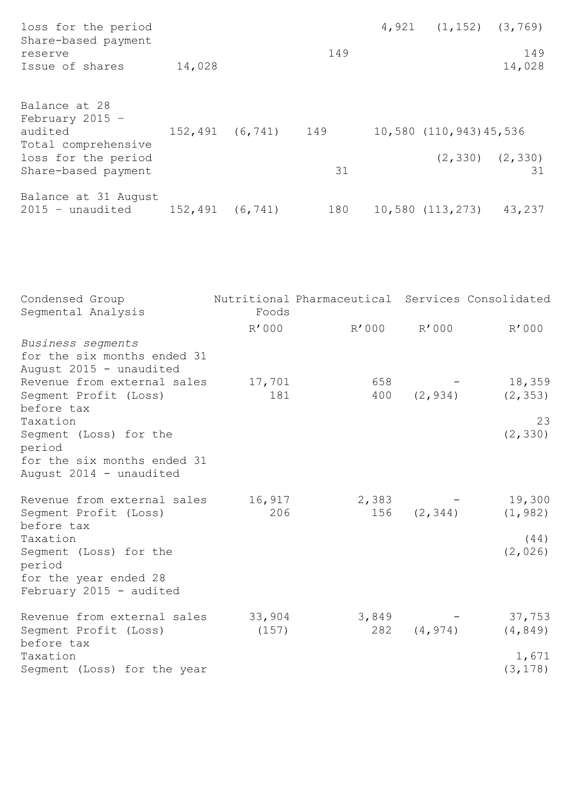| loss for the period<br>Share-based payment                           |        |                     |     | $4,921$ $(1,152)$ $(3,769)$ |                             |
|----------------------------------------------------------------------|--------|---------------------|-----|-----------------------------|-----------------------------|
| reserve<br>Issue of shares                                           | 14,028 |                     | 149 |                             | 149<br>14,028               |
| Balance at 28<br>February 2015 $-$<br>audited<br>Total comprehensive |        | 152,491 (6,741) 149 |     | 10,580 (110,943) 45,536     |                             |
| loss for the period<br>Share-based payment                           |        |                     | 31  |                             | $(2, 330)$ $(2, 330)$<br>31 |
| Balance at 31 August<br>2015 - unaudited 152,491 (6,741)             |        |                     | 180 | 10,580 (113,273) 43,237     |                             |

| Condensed Group<br>Segmental Analysis                                                            | Foods           | Nutritional Pharmaceutical Services Consolidated |            |                    |
|--------------------------------------------------------------------------------------------------|-----------------|--------------------------------------------------|------------|--------------------|
|                                                                                                  | R'000           | R'000                                            | R'000      | R'000              |
| Business segments<br>for the six months ended 31<br>August 2015 - unaudited                      |                 |                                                  |            |                    |
| Revenue from external sales<br>Segment Profit (Loss)<br>before tax                               | 17,701<br>181   | 658<br>400                                       | (2, 934)   | 18,359<br>(2, 353) |
| Taxation                                                                                         |                 |                                                  |            | 23                 |
| Seqment (Loss) for the<br>period                                                                 |                 |                                                  |            | (2, 330)           |
| for the six months ended 31<br>August 2014 - unaudited                                           |                 |                                                  |            |                    |
| Revenue from external sales<br>Segment Profit (Loss)<br>before tax                               | 16,917<br>206   | 2,383                                            | 156(2,344) | 19,300<br>(1, 982) |
| Taxation<br>Segment (Loss) for the<br>period<br>for the year ended 28<br>February 2015 - audited |                 |                                                  |            | (44)<br>(2, 026)   |
| Revenue from external sales<br>Segment Profit (Loss)<br>before tax                               | 33,904<br>(157) | 3,849<br>282                                     | (4, 974)   | 37,753<br>(4, 849) |
| Taxation<br>Segment (Loss) for the year                                                          |                 |                                                  |            | 1,671<br>(3, 178)  |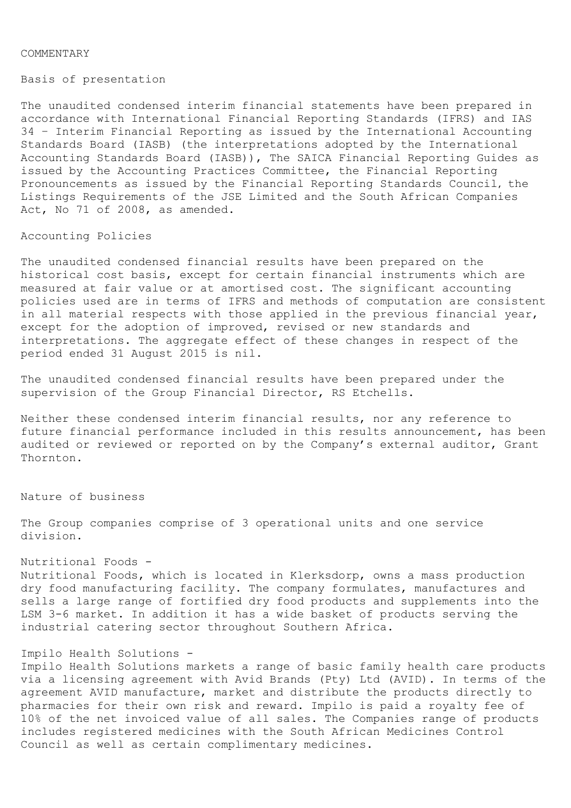#### COMMENTARY

Basis of presentation

The unaudited condensed interim financial statements have been prepared in accordance with International Financial Reporting Standards (IFRS) and IAS 34 – Interim Financial Reporting as issued by the International Accounting Standards Board (IASB) (the interpretations adopted by the International Accounting Standards Board (IASB)), The SAICA Financial Reporting Guides as issued by the Accounting Practices Committee, the Financial Reporting Pronouncements as issued by the Financial Reporting Standards Council, the Listings Requirements of the JSE Limited and the South African Companies Act, No 71 of 2008, as amended.

## Accounting Policies

The unaudited condensed financial results have been prepared on the historical cost basis, except for certain financial instruments which are measured at fair value or at amortised cost. The significant accounting policies used are in terms of IFRS and methods of computation are consistent in all material respects with those applied in the previous financial year, except for the adoption of improved, revised or new standards and interpretations. The aggregate effect of these changes in respect of the period ended 31 August 2015 is nil.

The unaudited condensed financial results have been prepared under the supervision of the Group Financial Director, RS Etchells.

Neither these condensed interim financial results, nor any reference to future financial performance included in this results announcement, has been audited or reviewed or reported on by the Company's external auditor, Grant Thornton.

Nature of business

The Group companies comprise of 3 operational units and one service division.

# Nutritional Foods -

Nutritional Foods, which is located in Klerksdorp, owns a mass production dry food manufacturing facility. The company formulates, manufactures and sells a large range of fortified dry food products and supplements into the LSM 3-6 market. In addition it has a wide basket of products serving the industrial catering sector throughout Southern Africa.

# Impilo Health Solutions -

Impilo Health Solutions markets a range of basic family health care products via a licensing agreement with Avid Brands (Pty) Ltd (AVID). In terms of the agreement AVID manufacture, market and distribute the products directly to pharmacies for their own risk and reward. Impilo is paid a royalty fee of 10% of the net invoiced value of all sales. The Companies range of products includes registered medicines with the South African Medicines Control Council as well as certain complimentary medicines.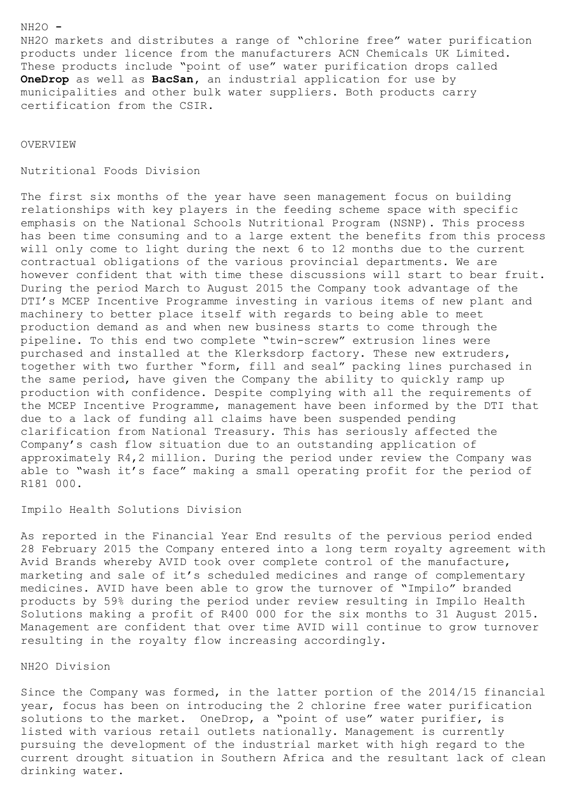### NH2O **-**

NH2O markets and distributes a range of "chlorine free" water purification products under licence from the manufacturers ACN Chemicals UK Limited. These products include "point of use" water purification drops called **OneDrop** as well as **BacSan,** an industrial application for use by municipalities and other bulk water suppliers. Both products carry certification from the CSIR.

OVERVIEW

Nutritional Foods Division

The first six months of the year have seen management focus on building relationships with key players in the feeding scheme space with specific emphasis on the National Schools Nutritional Program (NSNP). This process has been time consuming and to a large extent the benefits from this process will only come to light during the next 6 to 12 months due to the current contractual obligations of the various provincial departments. We are however confident that with time these discussions will start to bear fruit. During the period March to August 2015 the Company took advantage of the DTI's MCEP Incentive Programme investing in various items of new plant and machinery to better place itself with regards to being able to meet production demand as and when new business starts to come through the pipeline. To this end two complete "twin-screw" extrusion lines were purchased and installed at the Klerksdorp factory. These new extruders, together with two further "form, fill and seal" packing lines purchased in the same period, have given the Company the ability to quickly ramp up production with confidence. Despite complying with all the requirements of the MCEP Incentive Programme, management have been informed by the DTI that due to a lack of funding all claims have been suspended pending clarification from National Treasury. This has seriously affected the Company's cash flow situation due to an outstanding application of approximately R4,2 million. During the period under review the Company was able to "wash it's face" making a small operating profit for the period of R181 000.

Impilo Health Solutions Division

As reported in the Financial Year End results of the pervious period ended 28 February 2015 the Company entered into a long term royalty agreement with Avid Brands whereby AVID took over complete control of the manufacture, marketing and sale of it's scheduled medicines and range of complementary medicines. AVID have been able to grow the turnover of "Impilo" branded products by 59% during the period under review resulting in Impilo Health Solutions making a profit of R400 000 for the six months to 31 August 2015. Management are confident that over time AVID will continue to grow turnover resulting in the royalty flow increasing accordingly.

NH2O Division

Since the Company was formed, in the latter portion of the 2014/15 financial year, focus has been on introducing the 2 chlorine free water purification solutions to the market. OneDrop, a "point of use" water purifier, is listed with various retail outlets nationally. Management is currently pursuing the development of the industrial market with high regard to the current drought situation in Southern Africa and the resultant lack of clean drinking water.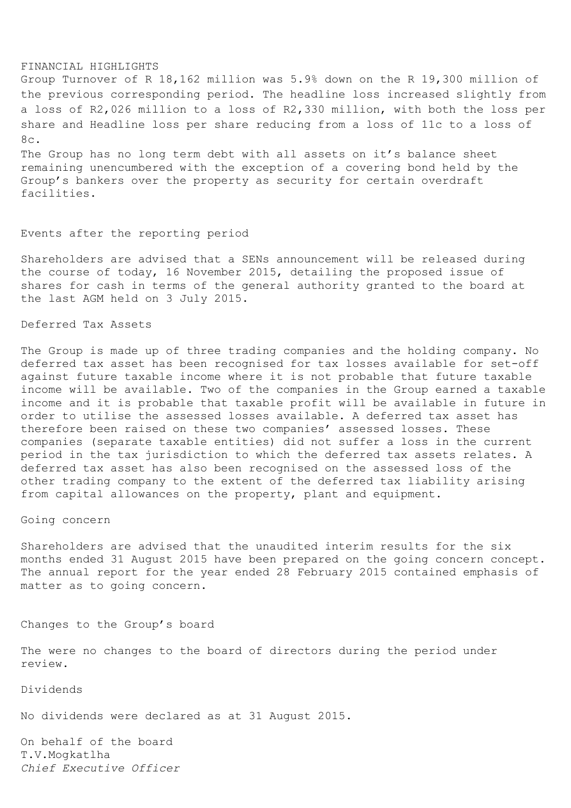#### FINANCIAL HIGHLIGHTS

Group Turnover of R 18,162 million was 5.9% down on the R 19,300 million of the previous corresponding period. The headline loss increased slightly from a loss of R2,026 million to a loss of R2,330 million, with both the loss per share and Headline loss per share reducing from a loss of 11c to a loss of 8c.

The Group has no long term debt with all assets on it's balance sheet remaining unencumbered with the exception of a covering bond held by the Group's bankers over the property as security for certain overdraft facilities.

### Events after the reporting period

Shareholders are advised that a SENs announcement will be released during the course of today, 16 November 2015, detailing the proposed issue of shares for cash in terms of the general authority granted to the board at the last AGM held on 3 July 2015.

## Deferred Tax Assets

The Group is made up of three trading companies and the holding company. No deferred tax asset has been recognised for tax losses available for set-off against future taxable income where it is not probable that future taxable income will be available. Two of the companies in the Group earned a taxable income and it is probable that taxable profit will be available in future in order to utilise the assessed losses available. A deferred tax asset has therefore been raised on these two companies' assessed losses. These companies (separate taxable entities) did not suffer a loss in the current period in the tax jurisdiction to which the deferred tax assets relates. A deferred tax asset has also been recognised on the assessed loss of the other trading company to the extent of the deferred tax liability arising from capital allowances on the property, plant and equipment.

## Going concern

Shareholders are advised that the unaudited interim results for the six months ended 31 August 2015 have been prepared on the going concern concept. The annual report for the year ended 28 February 2015 contained emphasis of matter as to going concern.

Changes to the Group's board

The were no changes to the board of directors during the period under review.

Dividends

No dividends were declared as at 31 August 2015.

On behalf of the board T.V.Mogkatlha *Chief Executive Officer*